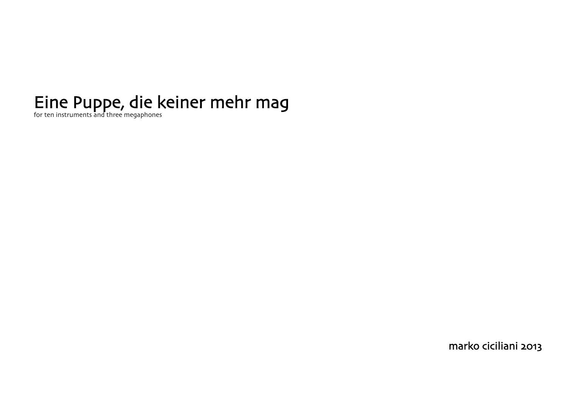## Eine Puppe, die keiner mehr mag

for ten instruments and three megaphones

marko ciciliani 2013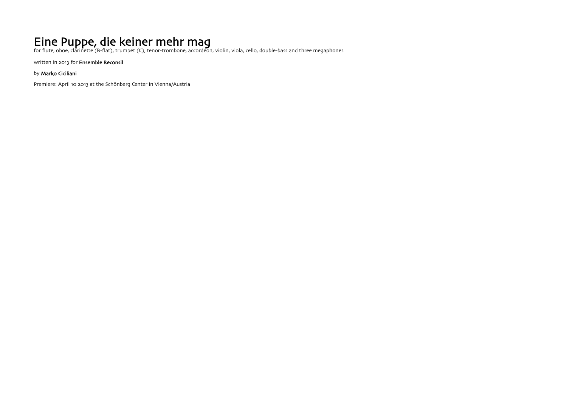# Eine Puppe, die keiner mehr mehr mag<br>for flute, oboe, clarinette (B-flat), trumpet (C), tenor-trombone, accordeon, violin, viola, cello, double-bass and three megaphones

written in 2013 for Ensemble Reconsil

### by Marko Ciciliani

Premiere: April 10 2013 at the Schönberg Center in Vienna/Austria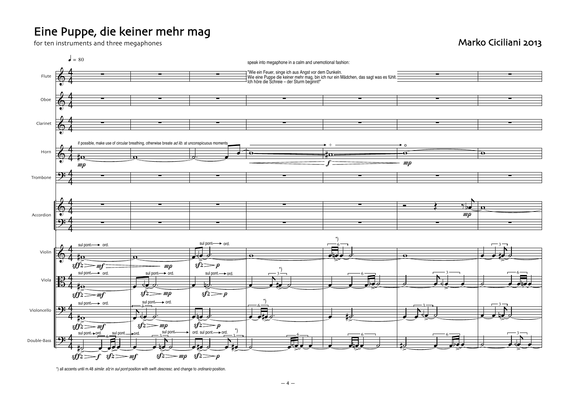### Eine Puppe, die keiner mehr mag

for ten instruments and three megaphones **Marko Ciciliani 2013** 



<sup>\*)</sup> all accents until m.48 simile: sfz in sul pont position with swift descresc. and change to ordinario position.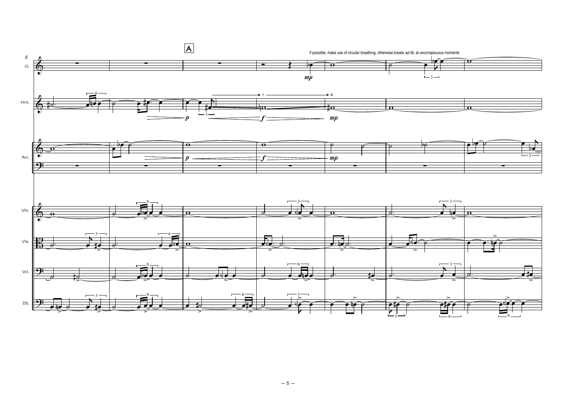

 $-5-$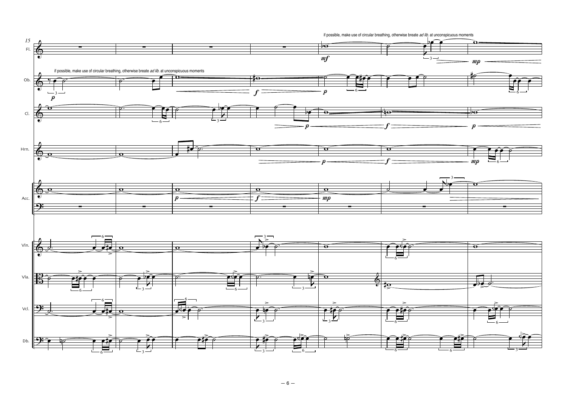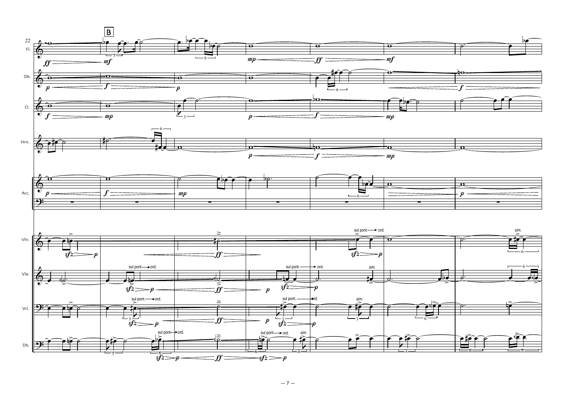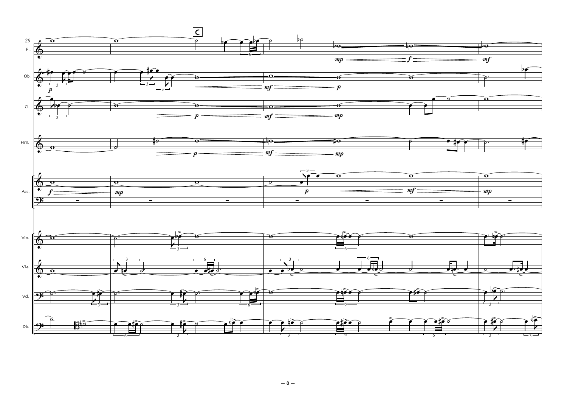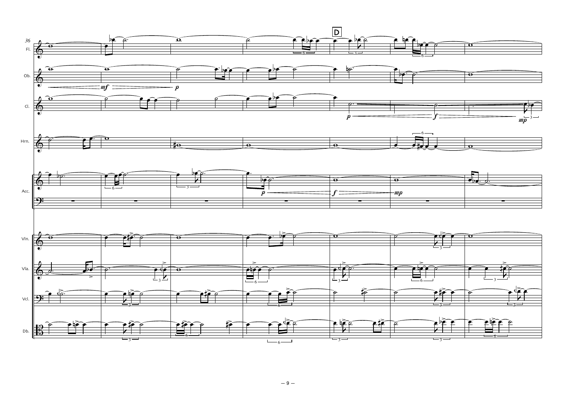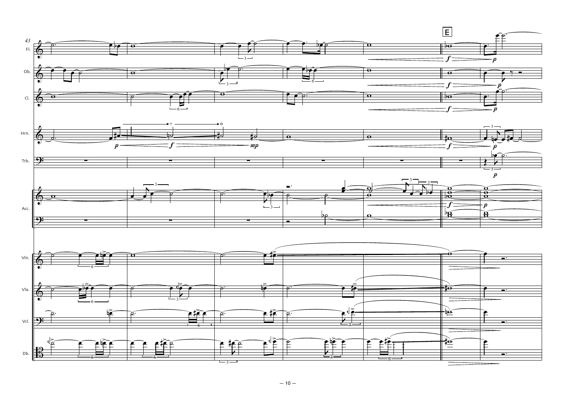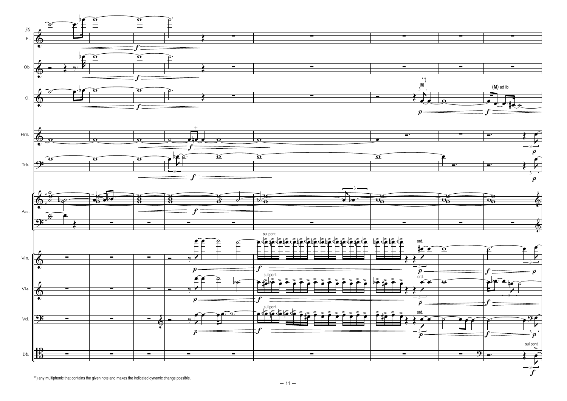

\*\*) any multiphonic that contains the given note and makes the indicated dynamic change possible.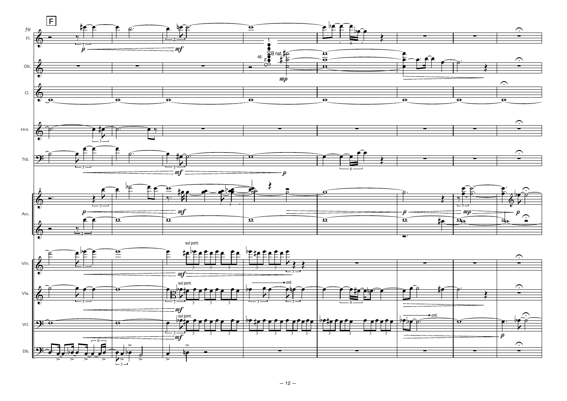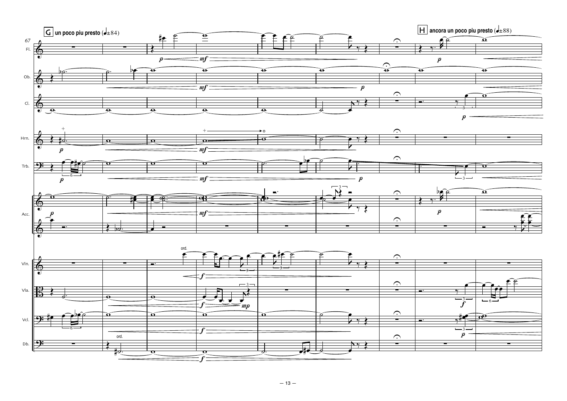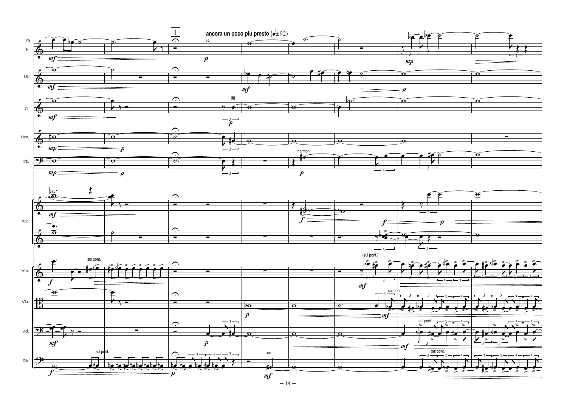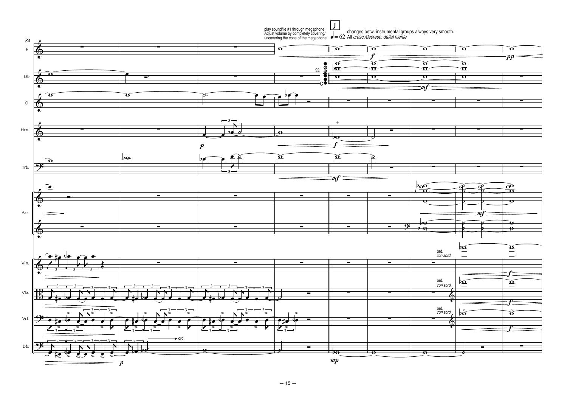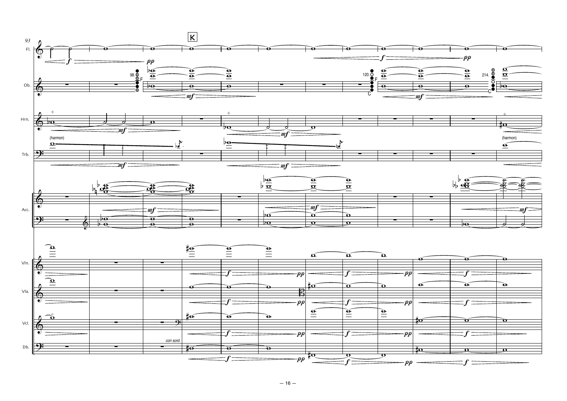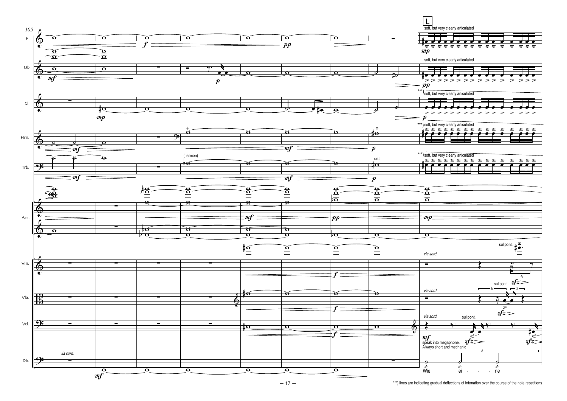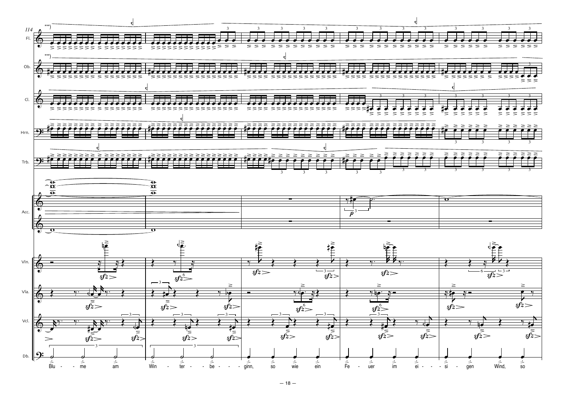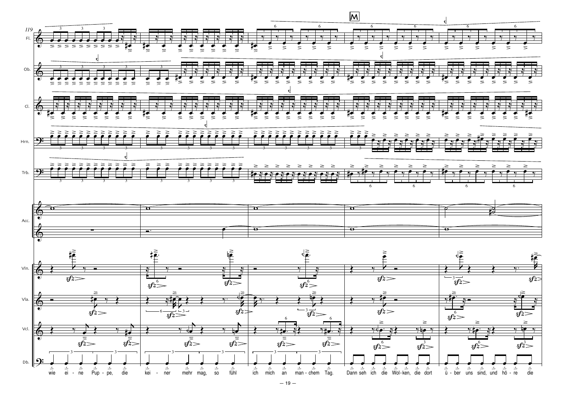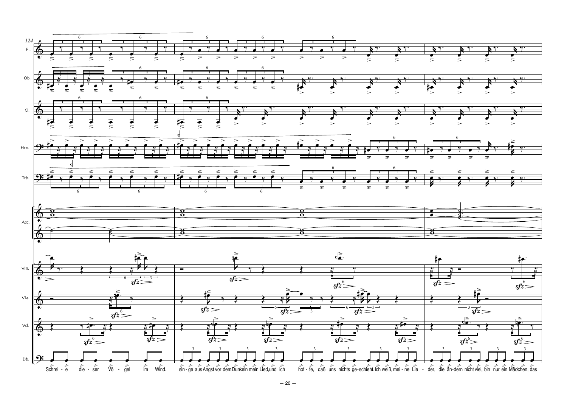